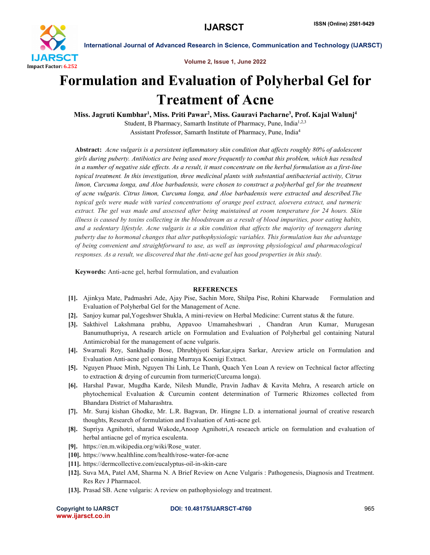

International Journal of Advanced Research in Science, Communication and Technology (IJARSCT)

Volume 2, Issue 1, June 2022

## Formulation and Evaluation of Polyherbal Gel for Treatment of Acne

Miss. Jagruti Kumbhar<sup>1</sup>, Miss. Priti Pawar<sup>2</sup>, Miss. Gauravi Pacharne<sup>3</sup>, Prof. Kajal Walunj<sup>4</sup> Student, B Pharmacy, Samarth Institute of Pharmacy, Pune, India<sup>1,2,3</sup>

Assistant Professor, Samarth Institute of Pharmacy, Pune, India4

Abstract: *Acne vulgaris is a persistent inflammatory skin condition that affects roughly 80% of adolescent girls during puberty. Antibiotics are being used more frequently to combat this problem, which has resulted in a number of negative side effects. As a result, it must concentrate on the herbal formulation as a first-line topical treatment. In this investigation, three medicinal plants with substantial antibacterial activity, Citrus limon, Curcuma longa, and Aloe barbadensis, were chosen to construct a polyherbal gel for the treatment of acne vulgaris. Citrus limon, Curcuma longa, and Aloe barbadensis were extracted and described.The topical gels were made with varied concentrations of orange peel extract, aloevera extract, and turmeric extract. The gel was made and assessed after being maintained at room temperature for 24 hours. Skin illness is caused by toxins collecting in the bloodstream as a result of blood impurities, poor eating habits, and a sedentary lifestyle. Acne vulgaris is a skin condition that affects the majority of teenagers during puberty due to hormonal changes that alter pathophysiologic variables. This formulation has the advantage of being convenient and straightforward to use, as well as improving physiological and pharmacological responses. As a result, we discovered that the Anti-acne gel has good properties in this study.*

Keywords: Anti-acne gel, herbal formulation, and evaluation

## **REFERENCES**

- [1]. Ajinkya Mate, Padmashri Ade, Ajay Pise, Sachin More, Shilpa Pise, Rohini Kharwade Formulation and Evaluation of Polyherbal Gel for the Management of Acne.
- [2]. Sanjoy kumar pal,Yogeshwer Shukla, A mini-review on Herbal Medicine: Current status & the future.
- [3]. Sakthivel Lakshmana prabhu, Appavoo Umamaheshwari , Chandran Arun Kumar, Murugesan Banumuthupriya, A research article on Formulation and Evaluation of Polyherbal gel containing Natural Antimicrobial for the management of acne vulgaris.
- [4]. Swarnali Roy, Sankhadip Bose, Dhrubhjyoti Sarkar,sipra Sarkar, Areview article on Formulation and Evaluation Anti-acne gel conaining Murraya Koenigi Extract.
- [5]. Nguyen Phuoc Minh, Nguyen Thi Linh, Le Thanh, Quach Yen Loan A review on Technical factor affecting to extraction & drying of curcumin from turmeric(Curcuma longa).
- [6]. Harshal Pawar, Mugdha Karde, Nilesh Mundle, Pravin Jadhav & Kavita Mehra, A research article on phytochemical Evaluation & Curcumin content determination of Turmeric Rhizomes collected from Bhandara District of Maharashtra.
- [7]. Mr. Suraj kishan Ghodke, Mr. L.R. Bagwan, Dr. Hingne L.D. a international journal of creative research thoughts, Research of formulation and Evaluation of Anti-acne gel.
- [8]. Supriya Agnihotri, sharad Wakode,Anoop Agnihotri,A reseaech article on formulation and evaluation of herbal antiacne gel of myrica esculenta.
- [9]. https://en.m.wikipedia.org/wiki/Rose\_water.
- [10]. https://www.healthline.com/health/rose-water-for-acne
- [11]. https://dermcollective.com/eucalyptus-oil-in-skin-care
- [12]. Suva MA, Patel AM, Sharma N. A Brief Review on Acne Vulgaris : Pathogenesis, Diagnosis and Treatment. Res Rev J Pharmacol.
- [13]. Prasad SB. Acne vulgaris: A review on pathophysiology and treatment.

| <b>Copyright to IJARSCT</b> |  |  |
|-----------------------------|--|--|
| www.ijarsct.co.in           |  |  |